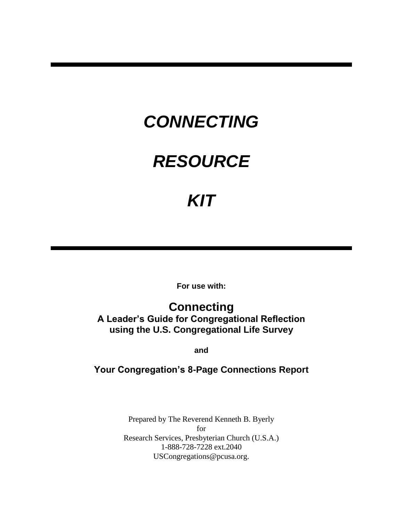# *CONNECTING*

# *RESOURCE*

# *KIT*

**For use with:**

**Connecting A Leader's Guide for Congregational Reflection using the U.S. Congregational Life Survey**

**and**

## **Your Congregation's 8-Page Connections Report**

Prepared by The Reverend Kenneth B. Byerly for Research Services, Presbyterian Church (U.S.A.) 1-888-728-7228 ext.2040 USCongregations@pcusa.org.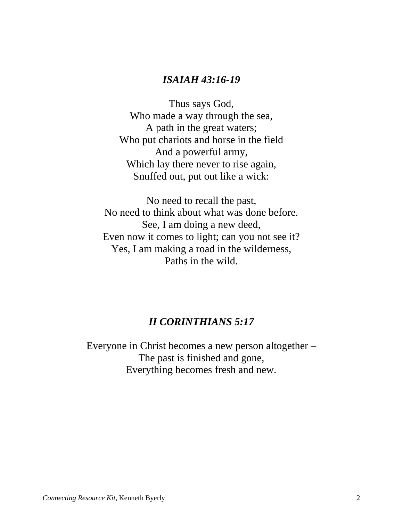# *ISAIAH 43:16-19*

Thus says God, Who made a way through the sea, A path in the great waters; Who put chariots and horse in the field And a powerful army, Which lay there never to rise again, Snuffed out, put out like a wick:

No need to recall the past, No need to think about what was done before. See, I am doing a new deed, Even now it comes to light; can you not see it? Yes, I am making a road in the wilderness, Paths in the wild.

# *II CORINTHIANS 5:17*

Everyone in Christ becomes a new person altogether – The past is finished and gone, Everything becomes fresh and new.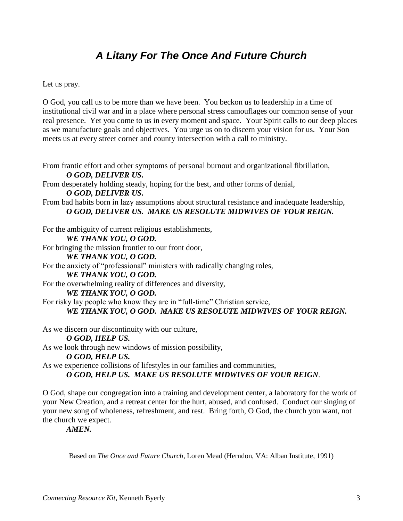# *A Litany For The Once And Future Church*

Let us pray.

O God, you call us to be more than we have been. You beckon us to leadership in a time of institutional civil war and in a place where personal stress camouflages our common sense of your real presence. Yet you come to us in every moment and space. Your Spirit calls to our deep places as we manufacture goals and objectives. You urge us on to discern your vision for us. Your Son meets us at every street corner and county intersection with a call to ministry.

From frantic effort and other symptoms of personal burnout and organizational fibrillation, *O GOD, DELIVER US.* From desperately holding steady, hoping for the best, and other forms of denial, *O GOD, DELIVER US.* From bad habits born in lazy assumptions about structural resistance and inadequate leadership, *O GOD, DELIVER US. MAKE US RESOLUTE MIDWIVES OF YOUR REIGN.* For the ambiguity of current religious establishments, *WE THANK YOU, O GOD.*  For bringing the mission frontier to our front door, *WE THANK YOU, O GOD.* For the anxiety of "professional" ministers with radically changing roles, *WE THANK YOU, O GOD.* For the overwhelming reality of differences and diversity, *WE THANK YOU, O GOD.* For risky lay people who know they are in "full-time" Christian service, *WE THANK YOU, O GOD. MAKE US RESOLUTE MIDWIVES OF YOUR REIGN.* As we discern our discontinuity with our culture, *O GOD, HELP US.* As we look through new windows of mission possibility, *O GOD, HELP US.* As we experience collisions of lifestyles in our families and communities,

*O GOD, HELP US. MAKE US RESOLUTE MIDWIVES OF YOUR REIGN.*

O God, shape our congregation into a training and development center, a laboratory for the work of your New Creation, and a retreat center for the hurt, abused, and confused. Conduct our singing of your new song of wholeness, refreshment, and rest. Bring forth, O God, the church you want, not the church we expect.

*AMEN.*

Based on *The Once and Future Church*, Loren Mead (Herndon, VA: Alban Institute, 1991)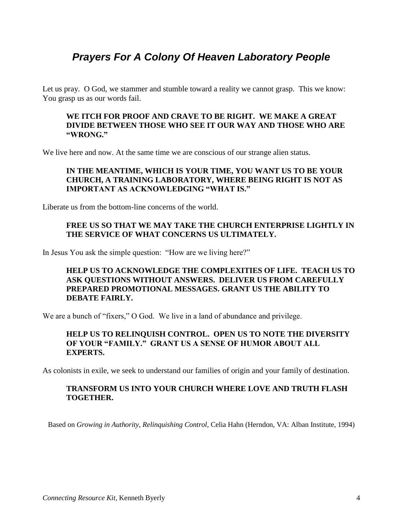# *Prayers For A Colony Of Heaven Laboratory People*

Let us pray. O God, we stammer and stumble toward a reality we cannot grasp. This we know: You grasp us as our words fail.

#### **WE ITCH FOR PROOF AND CRAVE TO BE RIGHT. WE MAKE A GREAT DIVIDE BETWEEN THOSE WHO SEE IT OUR WAY AND THOSE WHO ARE "WRONG."**

We live here and now. At the same time we are conscious of our strange alien status.

### **IN THE MEANTIME, WHICH IS YOUR TIME, YOU WANT US TO BE YOUR CHURCH, A TRAINING LABORATORY, WHERE BEING RIGHT IS NOT AS IMPORTANT AS ACKNOWLEDGING "WHAT IS."**

Liberate us from the bottom-line concerns of the world.

### **FREE US SO THAT WE MAY TAKE THE CHURCH ENTERPRISE LIGHTLY IN THE SERVICE OF WHAT CONCERNS US ULTIMATELY.**

In Jesus You ask the simple question: "How are we living here?"

### **HELP US TO ACKNOWLEDGE THE COMPLEXITIES OF LIFE. TEACH US TO ASK QUESTIONS WITHOUT ANSWERS. DELIVER US FROM CAREFULLY PREPARED PROMOTIONAL MESSAGES. GRANT US THE ABILITY TO DEBATE FAIRLY.**

We are a bunch of "fixers," O God. We live in a land of abundance and privilege.

### **HELP US TO RELINQUISH CONTROL. OPEN US TO NOTE THE DIVERSITY OF YOUR "FAMILY." GRANT US A SENSE OF HUMOR ABOUT ALL EXPERTS.**

As colonists in exile, we seek to understand our families of origin and your family of destination.

### **TRANSFORM US INTO YOUR CHURCH WHERE LOVE AND TRUTH FLASH TOGETHER.**

Based on *Growing in Authority, Relinquishing Control*, Celia Hahn (Herndon, VA: Alban Institute, 1994)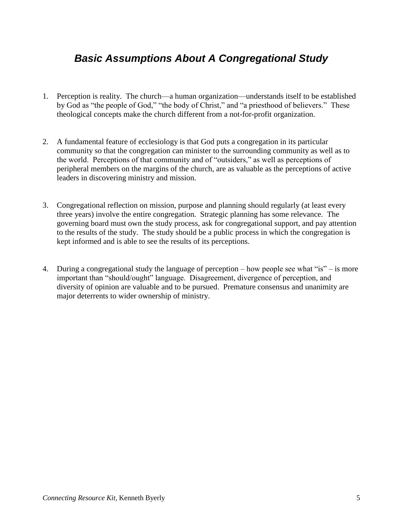# *Basic Assumptions About A Congregational Study*

- 1. Perception is reality. The church—a human organization—understands itself to be established by God as "the people of God," "the body of Christ," and "a priesthood of believers." These theological concepts make the church different from a not-for-profit organization.
- 2. A fundamental feature of ecclesiology is that God puts a congregation in its particular community so that the congregation can minister to the surrounding community as well as to the world. Perceptions of that community and of "outsiders," as well as perceptions of peripheral members on the margins of the church, are as valuable as the perceptions of active leaders in discovering ministry and mission.
- 3. Congregational reflection on mission, purpose and planning should regularly (at least every three years) involve the entire congregation. Strategic planning has some relevance. The governing board must own the study process, ask for congregational support, and pay attention to the results of the study. The study should be a public process in which the congregation is kept informed and is able to see the results of its perceptions.
- 4. During a congregational study the language of perception how people see what "is" is more important than "should/ought" language. Disagreement, divergence of perception, and diversity of opinion are valuable and to be pursued. Premature consensus and unanimity are major deterrents to wider ownership of ministry.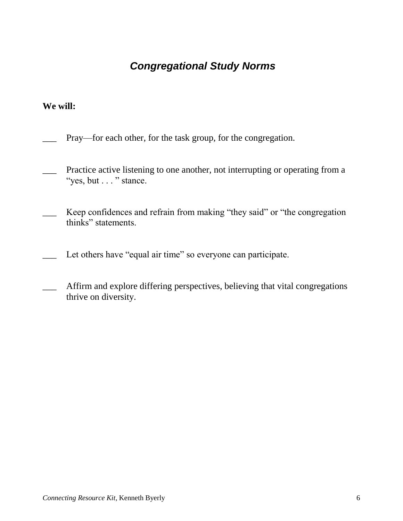# *Congregational Study Norms*

### **We will:**

- Pray—for each other, for the task group, for the congregation.
- Practice active listening to one another, not interrupting or operating from a "yes, but . . . " stance.
- Keep confidences and refrain from making "they said" or "the congregation thinks" statements.
- Let others have "equal air time" so everyone can participate.
- Affirm and explore differing perspectives, believing that vital congregations thrive on diversity.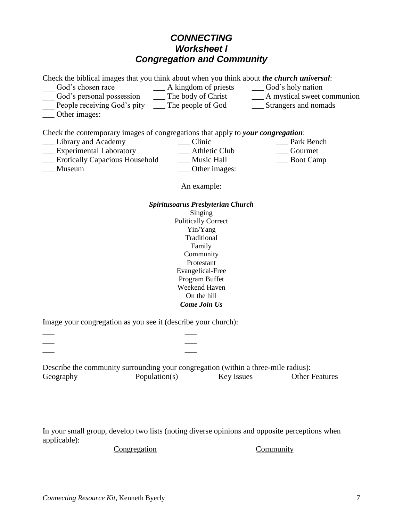### *CONNECTING Worksheet I Congregation and Community*

Check the biblical images that you think about when you think about *the church universal*:

- \_\_\_ God's chosen race \_\_\_ A kingdom of priests \_\_\_ God's holy nation \_\_\_ God's personal possession \_\_\_ The body of Christ \_\_\_ A mystical sweet communion
	-
- 
- People receiving God's pity \_\_\_\_ The people of God \_\_\_\_\_ Strangers and nomads
- Other images:

Check the contemporary images of congregations that apply to *your congregation*: \_\_\_ Library and Academy \_\_\_ Clinic \_\_\_ Park Bench \_\_\_ Experimental Laboratory \_\_\_ Athletic Club \_\_\_ Gourmet \_\_\_ Erotically Capacious Household \_\_\_ Music Hall \_\_\_ Boot Camp \_\_\_ Museum \_\_\_ Other images:

An example:

### *Spiritusoarus Presbyterian Church* Singing Politically Correct Yin/Yang Traditional Family Community Protestant Evangelical-Free Program Buffet Weekend Haven On the hill *Come Join Us*

Image your congregation as you see it (describe your church):

\_\_\_ \_\_\_ \_\_\_ \_\_\_ \_\_\_ \_\_\_

Describe the community surrounding your congregation (within a three-mile radius): Geography Population(s) Key Issues Other Features

In your small group, develop two lists (noting diverse opinions and opposite perceptions when applicable):

Congregation Community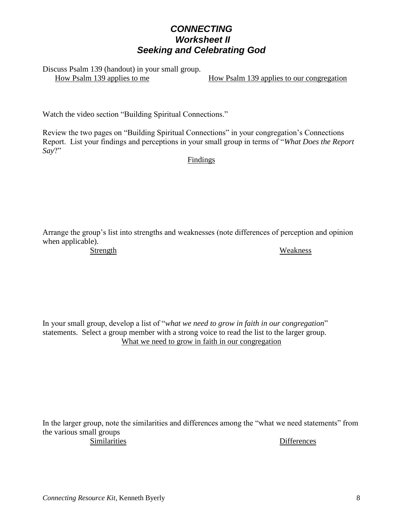## *CONNECTING Worksheet II Seeking and Celebrating God*

Discuss Psalm 139 (handout) in your small group.

How Psalm 139 applies to me<br>How Psalm 139 applies to our congregation

Watch the video section "Building Spiritual Connections."

Review the two pages on "Building Spiritual Connections" in your congregation's Connections Report. List your findings and perceptions in your small group in terms of "What Does the Report Say?"

Findings

Arrange the group's list into strengths and weaknesses (note differences of perception and opinion when applicable).

Strength Weakness

In your small group, develop a list of "*what we need to grow in faith in our congregation*" statements. Select a group member with a strong voice to read the list to the larger group. What we need to grow in faith in our congregation

In the larger group, note the similarities and differences among the "what we need statements" from the various small groups Similarities Differences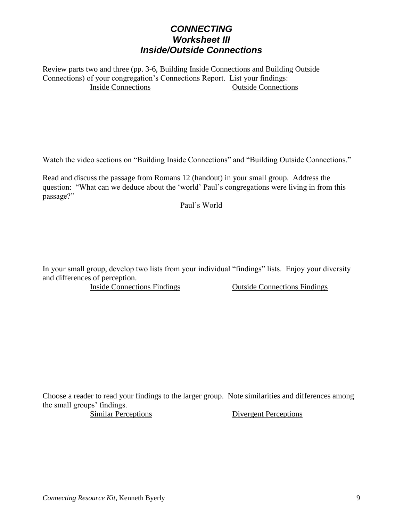## *CONNECTING Worksheet III Inside/Outside Connections*

Review parts two and three (pp. 3-6, Building Inside Connections and Building Outside Connections) of your congregation's Connections Report. List your findings: Inside Connections Outside Connections

Watch the video sections on "Building Inside Connections" and "Building Outside Connections."

Read and discuss the passage from Romans 12 (handout) in your small group. Address the question: "What can we deduce about the 'world' Paul's congregations were living in from this passage?"

#### Paul's World

In your small group, develop two lists from your individual "findings" lists. Enjoy your diversity and differences of perception.

Inside Connections Findings Outside Connections Findings

Choose a reader to read your findings to the larger group. Note similarities and differences among the small groups' findings.

Similar Perceptions Divergent Perceptions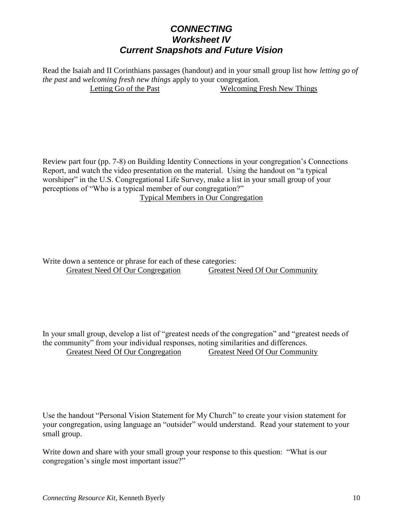# *CONNECTING Worksheet IV Current Snapshots and Future Vision*

Read the Isaiah and II Corinthians passages (handout) and in your small group list how *letting go of the past* and *welcoming fresh new things* apply to your congregation. Letting Go of the Past Welcoming Fresh New Things

Review part four (pp. 7-8) on Building Identity Connections in your congregation's Connections Report, and watch the video presentation on the material. Using the handout on "a typical worshiper" in the U.S. Congregational Life Survey, make a list in your small group of your perceptions of "Who is a typical member of our congregation?"

Typical Members in Our Congregation

Write down a sentence or phrase for each of these categories: Greatest Need Of Our Congregation Greatest Need Of Our Community

In your small group, develop a list of "greatest needs of the congregation" and "greatest needs of the community" from your individual responses, noting similarities and differences. Greatest Need Of Our Congregation Greatest Need Of Our Community

Use the handout "Personal Vision Statement for My Church" to create your vision statement for your congregation, using language an "outsider" would understand. Read your statement to your small group.

Write down and share with your small group your response to this question: "What is our congregation's single most important issue?"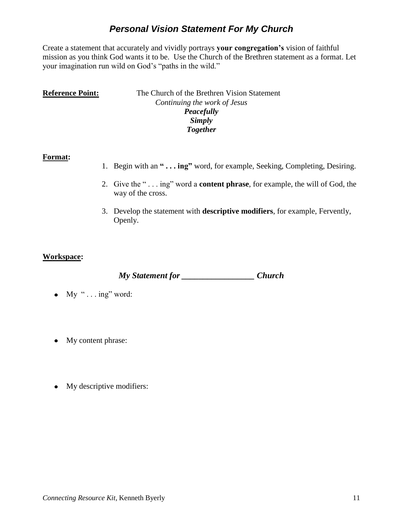# *Personal Vision Statement For My Church*

Create a statement that accurately and vividly portrays **your congregation's** vision of faithful mission as you think God wants it to be. Use the Church of the Brethren statement as a format. Let your imagination run wild on God's "paths in the wild."

| <b>Reference Point:</b> | The Church of the Brethren Vision Statement |
|-------------------------|---------------------------------------------|
|                         | Continuing the work of Jesus                |
|                         | Peacefully                                  |
|                         | Simply                                      |
|                         | <b>Together</b>                             |

### **Format:**

- 1. Begin with an **" . . . ing"** word, for example, Seeking, Completing, Desiring.
- 2. Give the "... ing" word a **content phrase**, for example, the will of God, the way of the cross.
- 3. Develop the statement with **descriptive modifiers**, for example, Fervently, Openly.

### **Workspace:**

*My Statement for \_\_\_\_\_\_\_\_\_\_\_\_\_\_\_\_\_ Church*

- $\bullet$  My "... ing" word:
- My content phrase:
- My descriptive modifiers: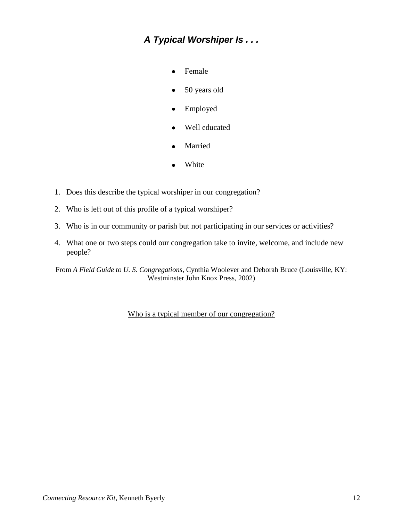# *A Typical Worshiper Is . . .*

- Female
- 50 years old
- Employed  $\bullet$
- Well educated
- Married
- White
- 1. Does this describe the typical worshiper in our congregation?
- 2. Who is left out of this profile of a typical worshiper?
- 3. Who is in our community or parish but not participating in our services or activities?
- 4. What one or two steps could our congregation take to invite, welcome, and include new people?

From *A Field Guide to U. S. Congregations*, Cynthia Woolever and Deborah Bruce (Louisville, KY: Westminster John Knox Press, 2002)

Who is a typical member of our congregation?